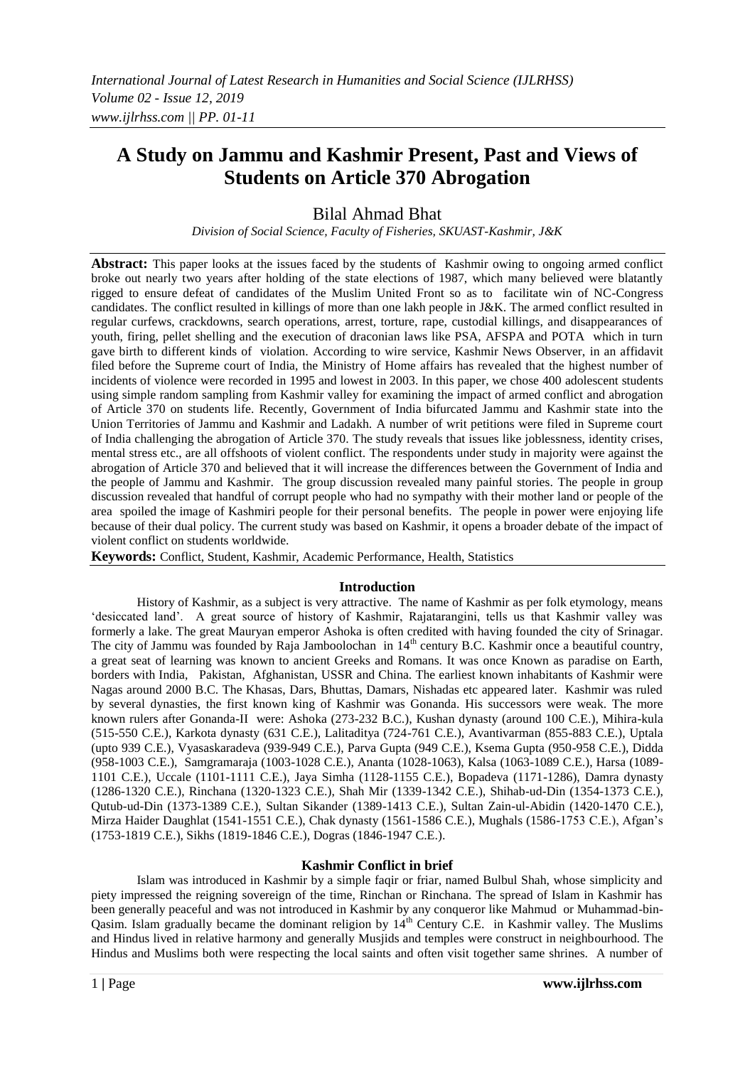# **A Study on Jammu and Kashmir Present, Past and Views of Students on Article 370 Abrogation**

# Bilal Ahmad Bhat

*Division of Social Science, Faculty of Fisheries, SKUAST-Kashmir, J&K*

**Abstract:** This paper looks at the issues faced by the students of Kashmir owing to ongoing armed conflict broke out nearly two years after holding of the state elections of 1987, which many believed were blatantly rigged to ensure defeat of candidates of the Muslim United Front so as to facilitate win of NC-Congress candidates. The conflict resulted in killings of more than one lakh people in J&K. The armed conflict resulted in regular curfews, crackdowns, search operations, arrest, torture, rape, custodial killings, and disappearances of youth, firing, pellet shelling and the execution of draconian laws like PSA, AFSPA and POTA which in turn gave birth to different kinds of violation. According to wire service, Kashmir News Observer, in an affidavit filed before the Supreme court of India, the Ministry of Home affairs has revealed that the highest number of incidents of violence were recorded in 1995 and lowest in 2003. In this paper, we chose 400 adolescent students using simple random sampling from Kashmir valley for examining the impact of armed conflict and abrogation of Article 370 on students life. Recently, Government of India bifurcated Jammu and Kashmir state into the Union Territories of Jammu and Kashmir and Ladakh. A number of writ petitions were filed in Supreme court of India challenging the abrogation of Article 370. The study reveals that issues like joblessness, identity crises, mental stress etc., are all offshoots of violent conflict. The respondents under study in majority were against the abrogation of Article 370 and believed that it will increase the differences between the Government of India and the people of Jammu and Kashmir. The group discussion revealed many painful stories. The people in group discussion revealed that handful of corrupt people who had no sympathy with their mother land or people of the area spoiled the image of Kashmiri people for their personal benefits. The people in power were enjoying life because of their dual policy. The current study was based on Kashmir, it opens a broader debate of the impact of violent conflict on students worldwide.

**Keywords:** Conflict, Student, Kashmir, Academic Performance, Health, Statistics

#### **Introduction**

History of Kashmir, as a subject is very attractive. The name of Kashmir as per folk etymology, means "desiccated land". A great source of history of Kashmir, Rajatarangini, tells us that Kashmir valley was formerly a lake. The great Mauryan emperor Ashoka is often credited with having founded the city of Srinagar. The city of Jammu was founded by Raja Jamboolochan in 14<sup>th</sup> century B.C. Kashmir once a beautiful country, a great seat of learning was known to ancient Greeks and Romans. It was once Known as paradise on Earth, borders with India, Pakistan, Afghanistan, USSR and China. The earliest known inhabitants of Kashmir were Nagas around 2000 B.C. The Khasas, Dars, Bhuttas, Damars, Nishadas etc appeared later. Kashmir was ruled by several dynasties, the first known king of Kashmir was Gonanda. His successors were weak. The more known rulers after Gonanda-II were: Ashoka (273-232 B.C.), Kushan dynasty (around 100 C.E.), Mihira-kula (515-550 C.E.), Karkota dynasty (631 C.E.), Lalitaditya (724-761 C.E.), Avantivarman (855-883 C.E.), Uptala (upto 939 C.E.), Vyasaskaradeva (939-949 C.E.), Parva Gupta (949 C.E.), Ksema Gupta (950-958 C.E.), Didda (958-1003 C.E.), Samgramaraja (1003-1028 C.E.), Ananta (1028-1063), Kalsa (1063-1089 C.E.), Harsa (1089- 1101 C.E.), Uccale (1101-1111 C.E.), Jaya Simha (1128-1155 C.E.), Bopadeva (1171-1286), Damra dynasty (1286-1320 C.E.), Rinchana (1320-1323 C.E.), Shah Mir (1339-1342 C.E.), Shihab-ud-Din (1354-1373 C.E.), Qutub-ud-Din (1373-1389 C.E.), Sultan Sikander (1389-1413 C.E.), Sultan Zain-ul-Abidin (1420-1470 C.E.), Mirza Haider Daughlat (1541-1551 C.E.), Chak dynasty (1561-1586 C.E.), Mughals (1586-1753 C.E.), Afgan"s (1753-1819 C.E.), Sikhs (1819-1846 C.E.), Dogras (1846-1947 C.E.).

#### **Kashmir Conflict in brief**

Islam was introduced in Kashmir by a simple faqir or friar, named Bulbul Shah, whose simplicity and piety impressed the reigning sovereign of the time, Rinchan or Rinchana. The spread of Islam in Kashmir has been generally peaceful and was not introduced in Kashmir by any conqueror like Mahmud or Muhammad-bin-Qasim. Islam gradually became the dominant religion by 14th Century C.E. in Kashmir valley. The Muslims and Hindus lived in relative harmony and generally Musjids and temples were construct in neighbourhood. The Hindus and Muslims both were respecting the local saints and often visit together same shrines. A number of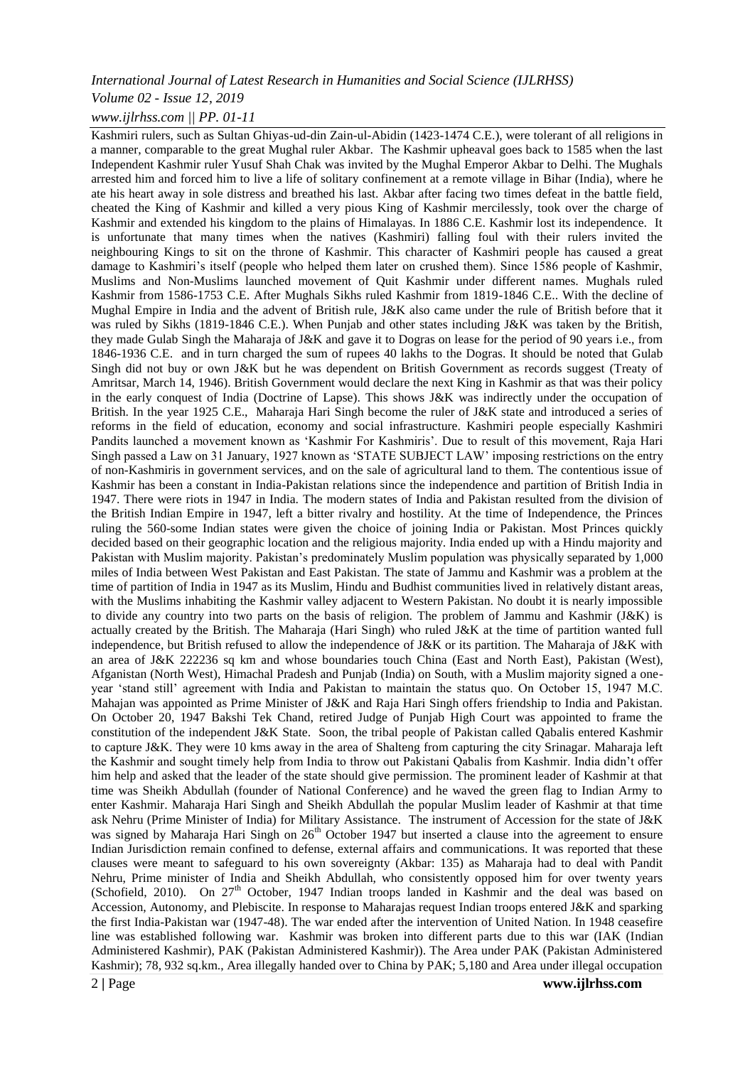#### *Volume 02 - Issue 12, 2019*

#### *www.ijlrhss.com || PP. 01-11*

Kashmiri rulers, such as Sultan Ghiyas-ud-din Zain-ul-Abidin (1423-1474 C.E.), were tolerant of all religions in a manner, comparable to the great Mughal ruler Akbar. The Kashmir upheaval goes back to 1585 when the last Independent Kashmir ruler Yusuf Shah Chak was invited by the Mughal Emperor Akbar to Delhi. The Mughals arrested him and forced him to live a life of solitary confinement at a remote village in Bihar (India), where he ate his heart away in sole distress and breathed his last. Akbar after facing two times defeat in the battle field, cheated the King of Kashmir and killed a very pious King of Kashmir mercilessly, took over the charge of Kashmir and extended his kingdom to the plains of Himalayas. In 1886 C.E. Kashmir lost its independence. It is unfortunate that many times when the natives (Kashmiri) falling foul with their rulers invited the neighbouring Kings to sit on the throne of Kashmir. This character of Kashmiri people has caused a great damage to Kashmiri's itself (people who helped them later on crushed them). Since 1586 people of Kashmir, Muslims and Non-Muslims launched movement of Quit Kashmir under different names. Mughals ruled Kashmir from 1586-1753 C.E. After Mughals Sikhs ruled Kashmir from 1819-1846 C.E.. With the decline of Mughal Empire in India and the advent of British rule, J&K also came under the rule of British before that it was ruled by Sikhs (1819-1846 C.E.). When Punjab and other states including J&K was taken by the British, they made Gulab Singh the Maharaja of J&K and gave it to Dogras on lease for the period of 90 years i.e., from 1846-1936 C.E. and in turn charged the sum of rupees 40 lakhs to the Dogras. It should be noted that Gulab Singh did not buy or own J&K but he was dependent on British Government as records suggest (Treaty of Amritsar, March 14, 1946). British Government would declare the next King in Kashmir as that was their policy in the early conquest of India (Doctrine of Lapse). This shows J&K was indirectly under the occupation of British. In the year 1925 C.E., Maharaja Hari Singh become the ruler of J&K state and introduced a series of reforms in the field of education, economy and social infrastructure. Kashmiri people especially Kashmiri Pandits launched a movement known as "Kashmir For Kashmiris". Due to result of this movement, Raja Hari Singh passed a Law on 31 January, 1927 known as "STATE SUBJECT LAW" imposing restrictions on the entry of non-Kashmiris in government services, and on the sale of agricultural land to them. The contentious issue of Kashmir has been a constant in India-Pakistan relations since the independence and partition of British India in 1947. There were riots in 1947 in India. The modern states of India and Pakistan resulted from the division of the British Indian Empire in 1947, left a bitter rivalry and hostility. At the time of Independence, the Princes ruling the 560-some Indian states were given the choice of joining India or Pakistan. Most Princes quickly decided based on their geographic location and the religious majority. India ended up with a Hindu majority and Pakistan with Muslim majority. Pakistan"s predominately Muslim population was physically separated by 1,000 miles of India between West Pakistan and East Pakistan. The state of Jammu and Kashmir was a problem at the time of partition of India in 1947 as its Muslim, Hindu and Budhist communities lived in relatively distant areas, with the Muslims inhabiting the Kashmir valley adjacent to Western Pakistan. No doubt it is nearly impossible to divide any country into two parts on the basis of religion. The problem of Jammu and Kashmir (J&K) is actually created by the British. The Maharaja (Hari Singh) who ruled J&K at the time of partition wanted full independence, but British refused to allow the independence of J&K or its partition. The Maharaja of J&K with an area of J&K 222236 sq km and whose boundaries touch China (East and North East), Pakistan (West), Afganistan (North West), Himachal Pradesh and Punjab (India) on South, with a Muslim majority signed a oneyear "stand still" agreement with India and Pakistan to maintain the status quo. On October 15, 1947 M.C. Mahajan was appointed as Prime Minister of J&K and Raja Hari Singh offers friendship to India and Pakistan. On October 20, 1947 Bakshi Tek Chand, retired Judge of Punjab High Court was appointed to frame the constitution of the independent J&K State. Soon, the tribal people of Pakistan called Qabalis entered Kashmir to capture J&K. They were 10 kms away in the area of Shalteng from capturing the city Srinagar. Maharaja left the Kashmir and sought timely help from India to throw out Pakistani Qabalis from Kashmir. India didn"t offer him help and asked that the leader of the state should give permission. The prominent leader of Kashmir at that time was Sheikh Abdullah (founder of National Conference) and he waved the green flag to Indian Army to enter Kashmir. Maharaja Hari Singh and Sheikh Abdullah the popular Muslim leader of Kashmir at that time ask Nehru (Prime Minister of India) for Military Assistance. The instrument of Accession for the state of J&K was signed by Maharaja Hari Singh on 26<sup>th</sup> October 1947 but inserted a clause into the agreement to ensure Indian Jurisdiction remain confined to defense, external affairs and communications. It was reported that these clauses were meant to safeguard to his own sovereignty (Akbar: 135) as Maharaja had to deal with Pandit Nehru, Prime minister of India and Sheikh Abdullah, who consistently opposed him for over twenty years (Schofield, 2010). On 27<sup>th</sup> October, 1947 Indian troops landed in Kashmir and the deal was based on Accession, Autonomy, and Plebiscite. In response to Maharajas request Indian troops entered J&K and sparking the first India-Pakistan war (1947-48). The war ended after the intervention of United Nation. In 1948 ceasefire line was established following war. Kashmir was broken into different parts due to this war (IAK (Indian Administered Kashmir), PAK (Pakistan Administered Kashmir)). The Area under PAK (Pakistan Administered Kashmir); 78, 932 sq.km., Area illegally handed over to China by PAK; 5,180 and Area under illegal occupation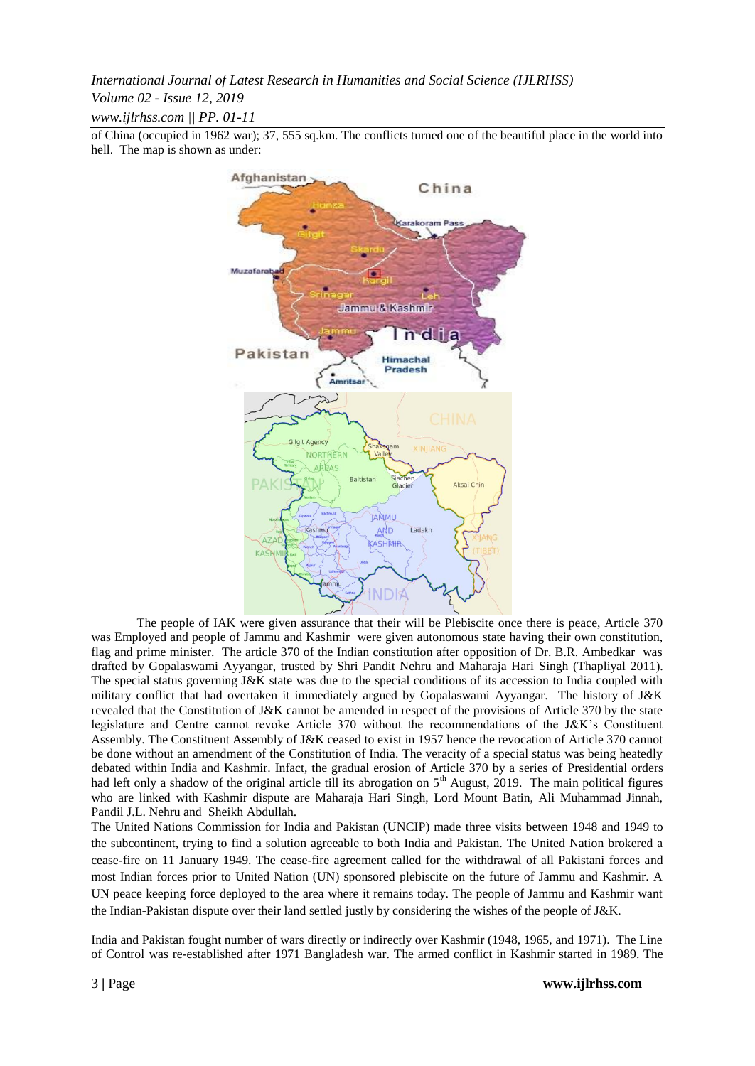*Volume 02 - Issue 12, 2019*

*www.ijlrhss.com || PP. 01-11*

of China (occupied in 1962 war); 37, 555 sq.km. The conflicts turned one of the beautiful place in the world into hell. The map is shown as under:



The people of IAK were given assurance that their will be Plebiscite once there is peace, Article 370 was Employed and people of Jammu and Kashmir were given autonomous state having their own constitution, flag and prime minister. The article 370 of the Indian constitution after opposition of Dr. B.R. Ambedkar was drafted by Gopalaswami Ayyangar, trusted by Shri Pandit Nehru and Maharaja Hari Singh (Thapliyal 2011). The special status governing J&K state was due to the special conditions of its accession to India coupled with military conflict that had overtaken it immediately argued by Gopalaswami Ayyangar. The history of J&K revealed that the Constitution of J&K cannot be amended in respect of the provisions of Article 370 by the state legislature and Centre cannot revoke Article 370 without the recommendations of the J&K"s Constituent Assembly. The Constituent Assembly of J&K ceased to exist in 1957 hence the revocation of Article 370 cannot be done without an amendment of the Constitution of India. The veracity of a special status was being heatedly debated within India and Kashmir. Infact, the gradual erosion of Article 370 by a series of Presidential orders had left only a shadow of the original article till its abrogation on  $5<sup>th</sup>$  August, 2019. The main political figures who are linked with Kashmir dispute are Maharaja Hari Singh, Lord Mount Batin, Ali Muhammad Jinnah, Pandil J.L. Nehru and Sheikh Abdullah.

The United Nations Commission for India and Pakistan (UNCIP) made three visits between 1948 and 1949 to the subcontinent, trying to find a solution agreeable to both India and Pakistan. The United Nation brokered a cease-fire on 11 January 1949. The cease-fire agreement called for the withdrawal of all Pakistani forces and most Indian forces prior to United Nation (UN) sponsored plebiscite on the future of Jammu and Kashmir. A UN peace keeping force deployed to the area where it remains today. The people of Jammu and Kashmir want the Indian-Pakistan dispute over their land settled justly by considering the wishes of the people of J&K.

India and Pakistan fought number of wars directly or indirectly over Kashmir (1948, 1965, and 1971). The Line of Control was re-established after 1971 Bangladesh war. The armed conflict in Kashmir started in 1989. The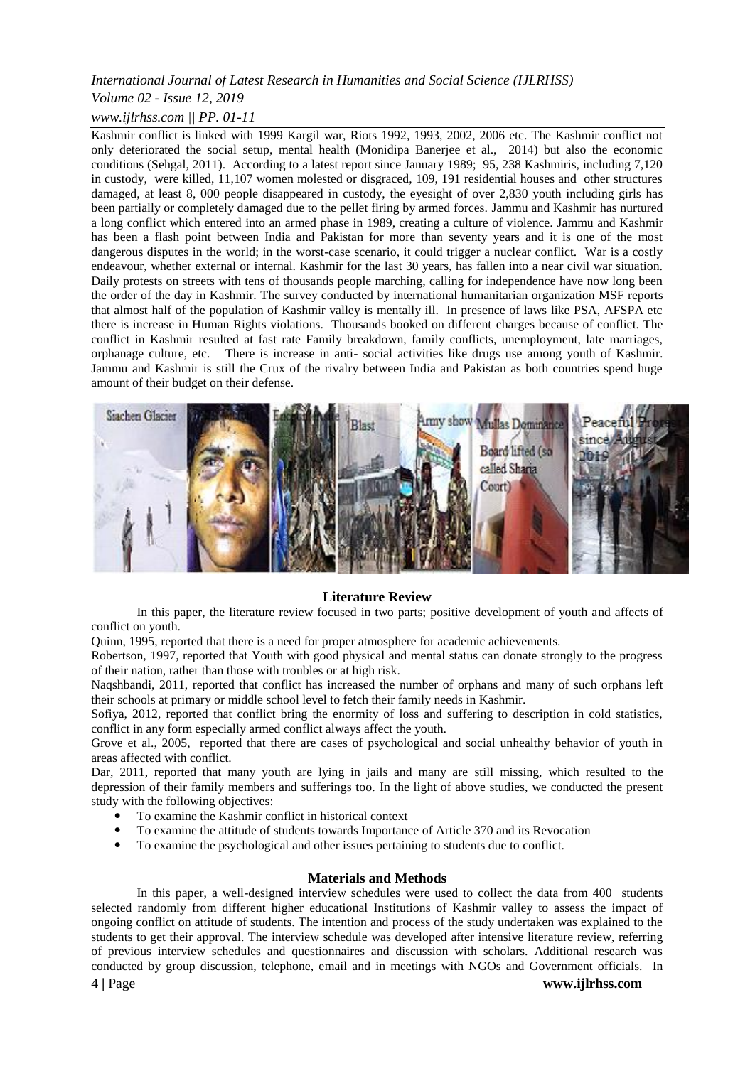## *Volume 02 - Issue 12, 2019*

## *www.ijlrhss.com || PP. 01-11*

Kashmir conflict is linked with 1999 Kargil war, Riots 1992, 1993, 2002, 2006 etc. The Kashmir conflict not only deteriorated the social setup, mental health (Monidipa Banerjee et al., 2014) but also the economic conditions (Sehgal, 2011). According to a latest report since January 1989; 95, 238 Kashmiris, including 7,120 in custody, were killed, 11,107 women molested or disgraced, 109, 191 residential houses and other structures damaged, at least 8, 000 people disappeared in custody, the eyesight of over 2,830 youth including girls has been partially or completely damaged due to the pellet firing by armed forces. Jammu and Kashmir has nurtured a long conflict which entered into an armed phase in 1989, creating a culture of violence. Jammu and Kashmir has been a flash point between India and Pakistan for more than seventy years and it is one of the most dangerous disputes in the world; in the worst-case scenario, it could trigger a nuclear conflict. War is a costly endeavour, whether external or internal. Kashmir for the last 30 years, has fallen into a near civil war situation. Daily protests on streets with tens of thousands people marching, calling for independence have now long been the order of the day in Kashmir. The survey conducted by international humanitarian organization MSF reports that almost half of the population of Kashmir valley is mentally ill. In presence of laws like PSA, AFSPA etc there is increase in Human Rights violations. Thousands booked on different charges because of conflict. The conflict in Kashmir resulted at fast rate Family breakdown, family conflicts, unemployment, late marriages, orphanage culture, etc. There is increase in anti- social activities like drugs use among youth of Kashmir. Jammu and Kashmir is still the Crux of the rivalry between India and Pakistan as both countries spend huge amount of their budget on their defense.



#### **Literature Review**

In this paper, the literature review focused in two parts; positive development of youth and affects of conflict on youth.

Quinn, 1995, reported that there is a need for proper atmosphere for academic achievements.

Robertson, 1997, reported that Youth with good physical and mental status can donate strongly to the progress of their nation, rather than those with troubles or at high risk.

Naqshbandi, 2011, reported that conflict has increased the number of orphans and many of such orphans left their schools at primary or middle school level to fetch their family needs in Kashmir.

Sofiya, 2012, reported that conflict bring the enormity of loss and suffering to description in cold statistics, conflict in any form especially armed conflict always affect the youth.

Grove et al., 2005, reported that there are cases of psychological and social unhealthy behavior of youth in areas affected with conflict.

Dar, 2011, reported that many youth are lying in jails and many are still missing, which resulted to the depression of their family members and sufferings too. In the light of above studies, we conducted the present study with the following objectives:

- To examine the Kashmir conflict in historical context
- To examine the attitude of students towards Importance of Article 370 and its Revocation
- To examine the psychological and other issues pertaining to students due to conflict.

#### **Materials and Methods**

In this paper, a well-designed interview schedules were used to collect the data from 400 students selected randomly from different higher educational Institutions of Kashmir valley to assess the impact of ongoing conflict on attitude of students. The intention and process of the study undertaken was explained to the students to get their approval. The interview schedule was developed after intensive literature review, referring of previous interview schedules and questionnaires and discussion with scholars. Additional research was conducted by group discussion, telephone, email and in meetings with NGOs and Government officials. In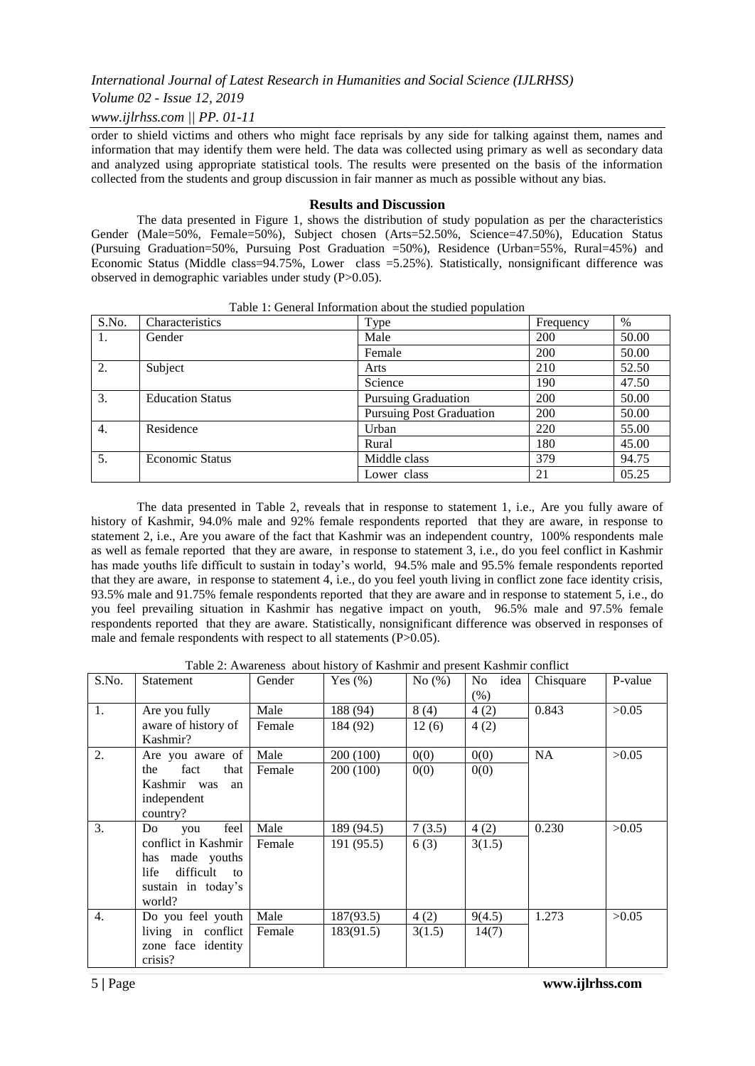## *Volume 02 - Issue 12, 2019*

## *www.ijlrhss.com || PP. 01-11*

order to shield victims and others who might face reprisals by any side for talking against them, names and information that may identify them were held. The data was collected using primary as well as secondary data and analyzed using appropriate statistical tools. The results were presented on the basis of the information collected from the students and group discussion in fair manner as much as possible without any bias.

#### **Results and Discussion**

The data presented in Figure 1, shows the distribution of study population as per the characteristics Gender (Male=50%, Female=50%), Subject chosen (Arts=52.50%, Science=47.50%), Education Status (Pursuing Graduation=50%, Pursuing Post Graduation =50%), Residence (Urban=55%, Rural=45%) and Economic Status (Middle class=94.75%, Lower class =5.25%). Statistically, nonsignificant difference was observed in demographic variables under study (P>0.05).

| S.No. | Characteristics         | Type                            | Frequency | $\%$  |
|-------|-------------------------|---------------------------------|-----------|-------|
| 1.    | Gender                  | Male                            | 200       | 50.00 |
|       |                         | Female                          | 200       | 50.00 |
| 2.    | Subject                 | Arts                            | 210       | 52.50 |
|       |                         | Science                         | 190       | 47.50 |
| 3.    | <b>Education Status</b> | <b>Pursuing Graduation</b>      | 200       | 50.00 |
|       |                         | <b>Pursuing Post Graduation</b> | 200       | 50.00 |
| 4.    | Residence               | Urban                           | 220       | 55.00 |
|       |                         | Rural                           | 180       | 45.00 |
| 5.    | <b>Economic Status</b>  | Middle class                    | 379       | 94.75 |
|       |                         | Lower class                     | 21        | 05.25 |

Table 1: General Information about the studied population

The data presented in Table 2, reveals that in response to statement 1, i.e., Are you fully aware of history of Kashmir, 94.0% male and 92% female respondents reported that they are aware, in response to statement 2, i.e., Are you aware of the fact that Kashmir was an independent country, 100% respondents male as well as female reported that they are aware, in response to statement 3, i.e., do you feel conflict in Kashmir has made youths life difficult to sustain in today's world, 94.5% male and 95.5% female respondents reported that they are aware, in response to statement 4, i.e., do you feel youth living in conflict zone face identity crisis, 93.5% male and 91.75% female respondents reported that they are aware and in response to statement 5, i.e., do you feel prevailing situation in Kashmir has negative impact on youth, 96.5% male and 97.5% female respondents reported that they are aware. Statistically, nonsignificant difference was observed in responses of male and female respondents with respect to all statements (P>0.05).

Table 2: Awareness about history of Kashmir and present Kashmir conflict

| S.No.            | Statement               | Gender | Yes $(\% )$ | No $(\%)$ | idea<br>No<br>(%) | Chisquare | P-value |
|------------------|-------------------------|--------|-------------|-----------|-------------------|-----------|---------|
| 1.               | Are you fully           | Male   | 188 (94)    | 8(4)      | 4(2)              | 0.843     | >0.05   |
|                  | aware of history of     | Female | 184 (92)    | 12(6)     | 4(2)              |           |         |
|                  | Kashmir?                |        |             |           |                   |           |         |
| 2.               | Are you aware of        | Male   | 200 (100)   | 0(0)      | 0(0)              | NA        | >0.05   |
|                  | fact<br>the<br>that     | Female | 200 (100)   | 0(0)      | 0(0)              |           |         |
|                  | Kashmir was<br>an       |        |             |           |                   |           |         |
|                  | independent             |        |             |           |                   |           |         |
|                  | country?                |        |             |           |                   |           |         |
| 3.               | feel<br>Do<br>you       | Male   | 189 (94.5)  | 7(3.5)    | 4(2)              | 0.230     | >0.05   |
|                  | conflict in Kashmir     | Female | 191(95.5)   | 6(3)      | 3(1.5)            |           |         |
|                  | has made youths         |        |             |           |                   |           |         |
|                  | difficult<br>life<br>to |        |             |           |                   |           |         |
|                  | sustain in today's      |        |             |           |                   |           |         |
|                  | world?                  |        |             |           |                   |           |         |
| $\overline{4}$ . | Do you feel youth       | Male   | 187(93.5)   | 4(2)      | 9(4.5)            | 1.273     | >0.05   |
|                  | living in conflict      | Female | 183(91.5)   | 3(1.5)    | 14(7)             |           |         |
|                  | zone face identity      |        |             |           |                   |           |         |
|                  | crisis?                 |        |             |           |                   |           |         |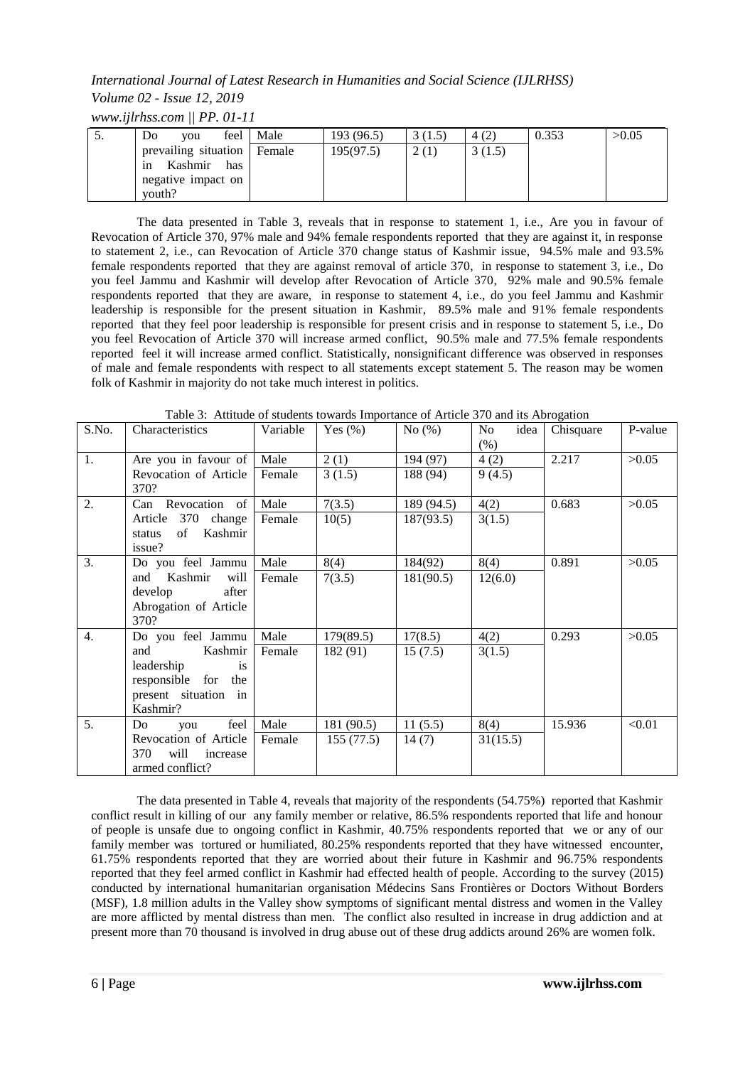## *International Journal of Latest Research in Humanities and Social Science (IJLRHSS) Volume 02 - Issue 12, 2019*

*www.ijlrhss.com || PP. 01-11*

| $\mathcal{D}$ | D <sub>0</sub><br>vou       | feel Male | 193 (96.5) | 3(1.5) | 4(2)   | 0.353 | >0.05 |
|---------------|-----------------------------|-----------|------------|--------|--------|-------|-------|
|               | prevailing situation Female |           | 195(97.5)  | 2(1)   | 3(1.5) |       |       |
|               | Kashmir<br>has<br>1n        |           |            |        |        |       |       |
|               | negative impact on          |           |            |        |        |       |       |
|               | vouth?                      |           |            |        |        |       |       |

The data presented in Table 3, reveals that in response to statement 1, i.e., Are you in favour of Revocation of Article 370, 97% male and 94% female respondents reported that they are against it, in response to statement 2, i.e., can Revocation of Article 370 change status of Kashmir issue, 94.5% male and 93.5% female respondents reported that they are against removal of article 370, in response to statement 3, i.e., Do you feel Jammu and Kashmir will develop after Revocation of Article 370, 92% male and 90.5% female respondents reported that they are aware, in response to statement 4, i.e., do you feel Jammu and Kashmir leadership is responsible for the present situation in Kashmir, 89.5% male and 91% female respondents reported that they feel poor leadership is responsible for present crisis and in response to statement 5, i.e., Do you feel Revocation of Article 370 will increase armed conflict, 90.5% male and 77.5% female respondents reported feel it will increase armed conflict. Statistically, nonsignificant difference was observed in responses of male and female respondents with respect to all statements except statement 5. The reason may be women folk of Kashmir in majority do not take much interest in politics.

| S.No. | Characteristics                                | Variable       | Yes $(\%)$ | No(%)      | idea<br>No<br>(% ) | Chisquare | P-value |
|-------|------------------------------------------------|----------------|------------|------------|--------------------|-----------|---------|
| 1.    | Are you in favour of<br>Revocation of Article  | Male<br>Female | 2(1)       | 194 (97)   | 4(2)               | 2.217     | >0.05   |
|       | 370?                                           |                | 3(1.5)     | 188 (94)   | 9(4.5)             |           |         |
| 2.    | Can Revocation of                              | Male           | 7(3.5)     | 189 (94.5) | 4(2)               | 0.683     | >0.05   |
|       | Article 370 change                             | Female         | 10(5)      | 187(93.5)  | 3(1.5)             |           |         |
|       | Kashmir<br>of<br>status<br>issue?              |                |            |            |                    |           |         |
| 3.    | Do you feel Jammu                              | Male           | 8(4)       | 184(92)    | 8(4)               | 0.891     | >0.05   |
|       | Kashmir<br>will<br>and                         | Female         | 7(3.5)     | 181(90.5)  | 12(6.0)            |           |         |
|       | develop<br>after                               |                |            |            |                    |           |         |
|       | Abrogation of Article<br>370?                  |                |            |            |                    |           |         |
| 4.    | Do you feel Jammu                              | Male           | 179(89.5)  | 17(8.5)    | 4(2)               | 0.293     | >0.05   |
|       | Kashmir<br>and                                 | Female         | 182 (91)   | 15(7.5)    | 3(1.5)             |           |         |
|       | leadership<br><i>is</i>                        |                |            |            |                    |           |         |
|       | responsible for<br>the<br>present situation in |                |            |            |                    |           |         |
|       | Kashmir?                                       |                |            |            |                    |           |         |
| 5.    | feel<br>Do<br>you                              | Male           | 181 (90.5) | 11(5.5)    | 8(4)               | 15.936    | < 0.01  |
|       | Revocation of Article                          | Female         | 155(77.5)  | 14(7)      | 31(15.5)           |           |         |
|       | 370<br>will<br>increase                        |                |            |            |                    |           |         |
|       | armed conflict?                                |                |            |            |                    |           |         |

Table 3: Attitude of students towards Importance of Article 370 and its Abrogation

The data presented in Table 4, reveals that majority of the respondents (54.75%) reported that Kashmir conflict result in killing of our any family member or relative, 86.5% respondents reported that life and honour of people is unsafe due to ongoing conflict in Kashmir, 40.75% respondents reported that we or any of our family member was tortured or humiliated, 80.25% respondents reported that they have witnessed encounter, 61.75% respondents reported that they are worried about their future in Kashmir and 96.75% respondents reported that they feel armed conflict in Kashmir had effected health of people. According to the survey (2015) [conducted by international humanitarian organisation Médecins Sans Frontières](http://www.indiaenvironmentportal.org.in/reports-documents/kashmir-mental-health-survey) or Doctors Without Borders (MSF), 1.8 million adults in the Valley show symptoms of significant mental distress and women in the Valley are more afflicted by mental distress than men. The conflict also resulted in increase in drug addiction and at present more than 70 thousand is involved in drug abuse out of these drug addicts around 26% are women folk.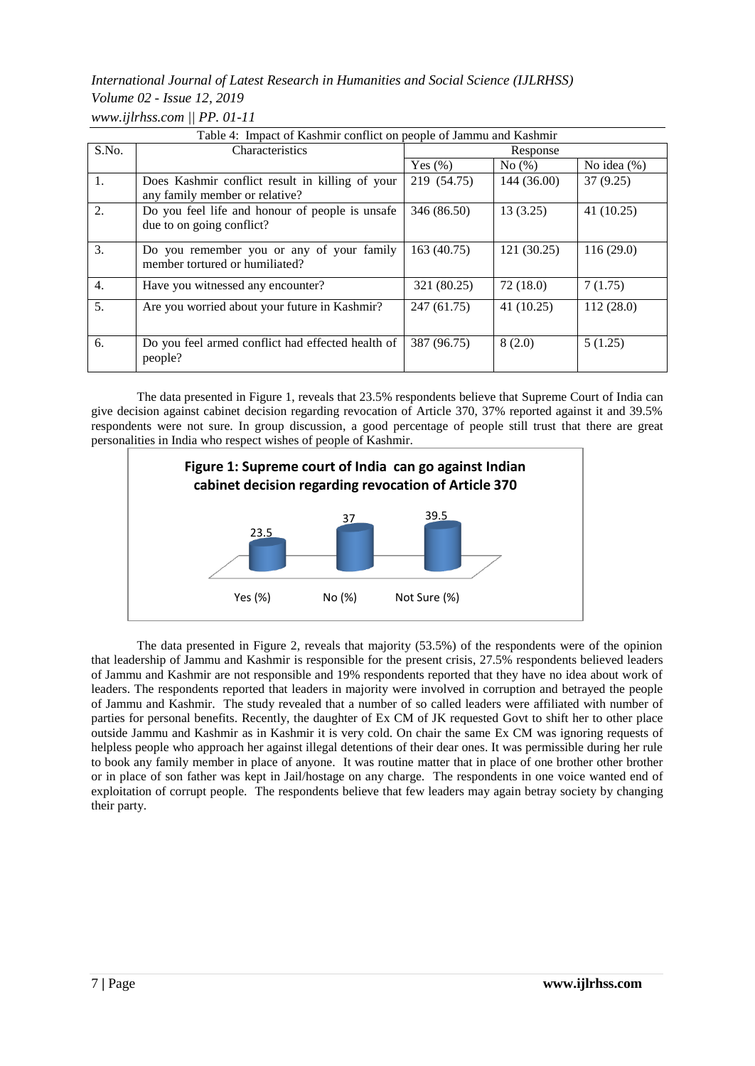# *International Journal of Latest Research in Humanities and Social Science (IJLRHSS) Volume 02 - Issue 12, 2019 www.ijlrhss.com || PP. 01-11*

|       | Table 4: Impact of Kashmir conflict on people of Jammu and Kashmir                |             |             |             |  |
|-------|-----------------------------------------------------------------------------------|-------------|-------------|-------------|--|
| S.No. | Characteristics                                                                   | Response    |             |             |  |
|       |                                                                                   | Yes $(\% )$ | No(%)       | No idea (%) |  |
| 1.    | Does Kashmir conflict result in killing of your<br>any family member or relative? | 219 (54.75) | 144 (36.00) | 37(9.25)    |  |
| 2.    | Do you feel life and honour of people is unsafe<br>due to on going conflict?      | 346 (86.50) | 13(3.25)    | 41(10.25)   |  |
| 3.    | Do you remember you or any of your family<br>member tortured or humiliated?       | 163 (40.75) | 121(30.25)  | 116(29.0)   |  |
| 4.    | Have you witnessed any encounter?                                                 | 321 (80.25) | 72(18.0)    | 7(1.75)     |  |
| 5.    | Are you worried about your future in Kashmir?                                     | 247 (61.75) | 41(10.25)   | 112 (28.0)  |  |
| 6.    | Do you feel armed conflict had effected health of<br>people?                      | 387 (96.75) | 8(2.0)      | 5(1.25)     |  |

The data presented in Figure 1, reveals that 23.5% respondents believe that Supreme Court of India can give decision against cabinet decision regarding revocation of Article 370, 37% reported against it and 39.5% respondents were not sure. In group discussion, a good percentage of people still trust that there are great personalities in India who respect wishes of people of Kashmir.



The data presented in Figure 2, reveals that majority (53.5%) of the respondents were of the opinion that leadership of Jammu and Kashmir is responsible for the present crisis, 27.5% respondents believed leaders of Jammu and Kashmir are not responsible and 19% respondents reported that they have no idea about work of leaders. The respondents reported that leaders in majority were involved in corruption and betrayed the people of Jammu and Kashmir. The study revealed that a number of so called leaders were affiliated with number of parties for personal benefits. Recently, the daughter of Ex CM of JK requested Govt to shift her to other place outside Jammu and Kashmir as in Kashmir it is very cold. On chair the same Ex CM was ignoring requests of helpless people who approach her against illegal detentions of their dear ones. It was permissible during her rule to book any family member in place of anyone. It was routine matter that in place of one brother other brother or in place of son father was kept in Jail/hostage on any charge. The respondents in one voice wanted end of exploitation of corrupt people. The respondents believe that few leaders may again betray society by changing their party.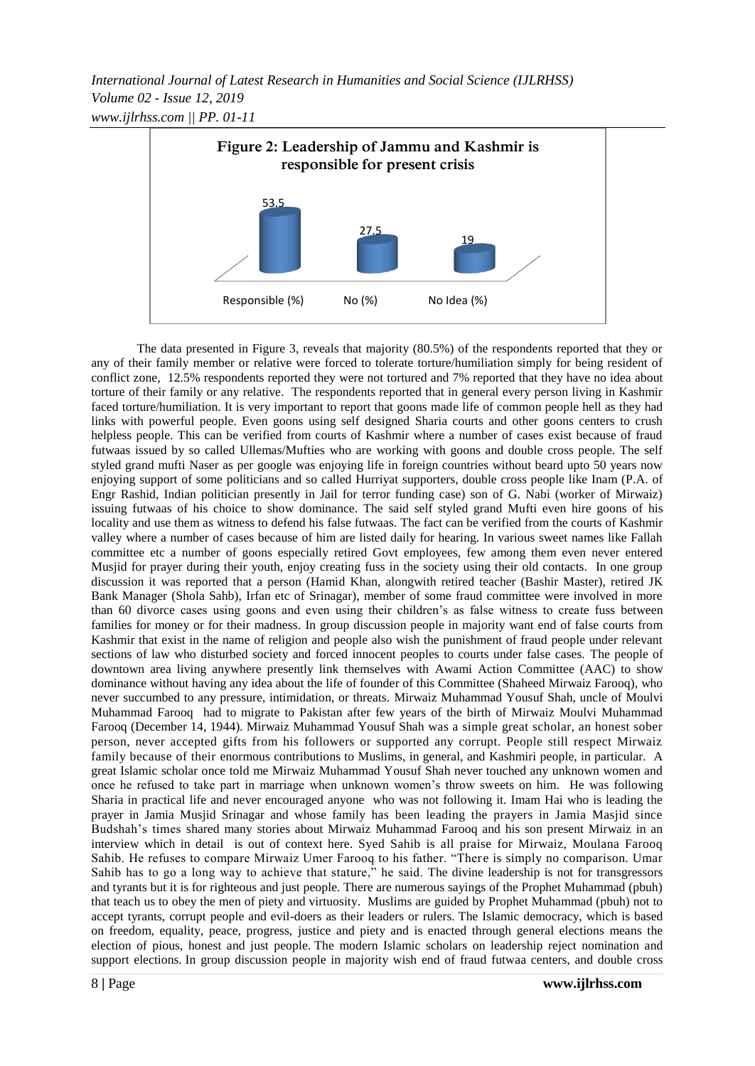*International Journal of Latest Research in Humanities and Social Science (IJLRHSS) Volume 02 - Issue 12, 2019 www.ijlrhss.com || PP. 01-11*



The data presented in Figure 3, reveals that majority (80.5%) of the respondents reported that they or any of their family member or relative were forced to tolerate torture/humiliation simply for being resident of conflict zone, 12.5% respondents reported they were not tortured and 7% reported that they have no idea about torture of their family or any relative. The respondents reported that in general every person living in Kashmir faced torture/humiliation. It is very important to report that goons made life of common people hell as they had links with powerful people. Even goons using self designed Sharia courts and other goons centers to crush helpless people. This can be verified from courts of Kashmir where a number of cases exist because of fraud futwaas issued by so called Ullemas/Mufties who are working with goons and double cross people. The self styled grand mufti Naser as per google was enjoying life in foreign countries without beard upto 50 years now enjoying support of some politicians and so called Hurriyat supporters, double cross people like Inam (P.A. of Engr Rashid, Indian politician presently in Jail for terror funding case) son of G. Nabi (worker of Mirwaiz) issuing futwaas of his choice to show dominance. The said self styled grand Mufti even hire goons of his locality and use them as witness to defend his false futwaas. The fact can be verified from the courts of Kashmir valley where a number of cases because of him are listed daily for hearing. In various sweet names like Fallah committee etc a number of goons especially retired Govt employees, few among them even never entered Musjid for prayer during their youth, enjoy creating fuss in the society using their old contacts. In one group discussion it was reported that a person (Hamid Khan, alongwith retired teacher (Bashir Master), retired JK Bank Manager (Shola Sahb), Irfan etc of Srinagar), member of some fraud committee were involved in more than 60 divorce cases using goons and even using their children"s as false witness to create fuss between families for money or for their madness. In group discussion people in majority want end of false courts from Kashmir that exist in the name of religion and people also wish the punishment of fraud people under relevant sections of law who disturbed society and forced innocent peoples to courts under false cases. The people of downtown area living anywhere presently link themselves with Awami Action Committee (AAC) to show dominance without having any idea about the life of founder of this Committee (Shaheed Mirwaiz Farooq), who never succumbed to any pressure, intimidation, or threats. Mirwaiz Muhammad Yousuf Shah, uncle of Moulvi Muhammad Farooq had to migrate to Pakistan after few years of the birth of Mirwaiz Moulvi Muhammad Farooq (December 14, 1944). Mirwaiz Muhammad Yousuf Shah was a simple great scholar, an honest sober person, never accepted gifts from his followers or supported any corrupt. People still respect Mirwaiz family because of their enormous contributions to Muslims, in general, and Kashmiri people, in particular. A great Islamic scholar once told me Mirwaiz Muhammad Yousuf Shah never touched any unknown women and once he refused to take part in marriage when unknown women"s throw sweets on him. He was following Sharia in practical life and never encouraged anyone who was not following it. Imam Hai who is leading the prayer in Jamia Musjid Srinagar and whose family has been leading the prayers in Jamia Masjid since Budshah"s times shared many stories about Mirwaiz Muhammad Farooq and his son present Mirwaiz in an interview which in detail is out of context here. Syed Sahib is all praise for Mirwaiz, Moulana Farooq Sahib. He refuses to compare Mirwaiz Umer Farooq to his father. "There is simply no comparison. Umar Sahib has to go a long way to achieve that stature," he said. The divine leadership is not for transgressors and tyrants but it is for righteous and just people. There are numerous sayings of the Prophet Muhammad (pbuh) that teach us to obey the men of piety and virtuosity. Muslims are guided by Prophet Muhammad (pbuh) not to accept tyrants, corrupt people and evil-doers as their leaders or rulers. The Islamic democracy, which is based on freedom, equality, peace, progress, justice and piety and is enacted through general elections means the election of pious, honest and just people. The modern Islamic scholars on leadership reject nomination and support elections. In group discussion people in majority wish end of fraud futwaa centers, and double cross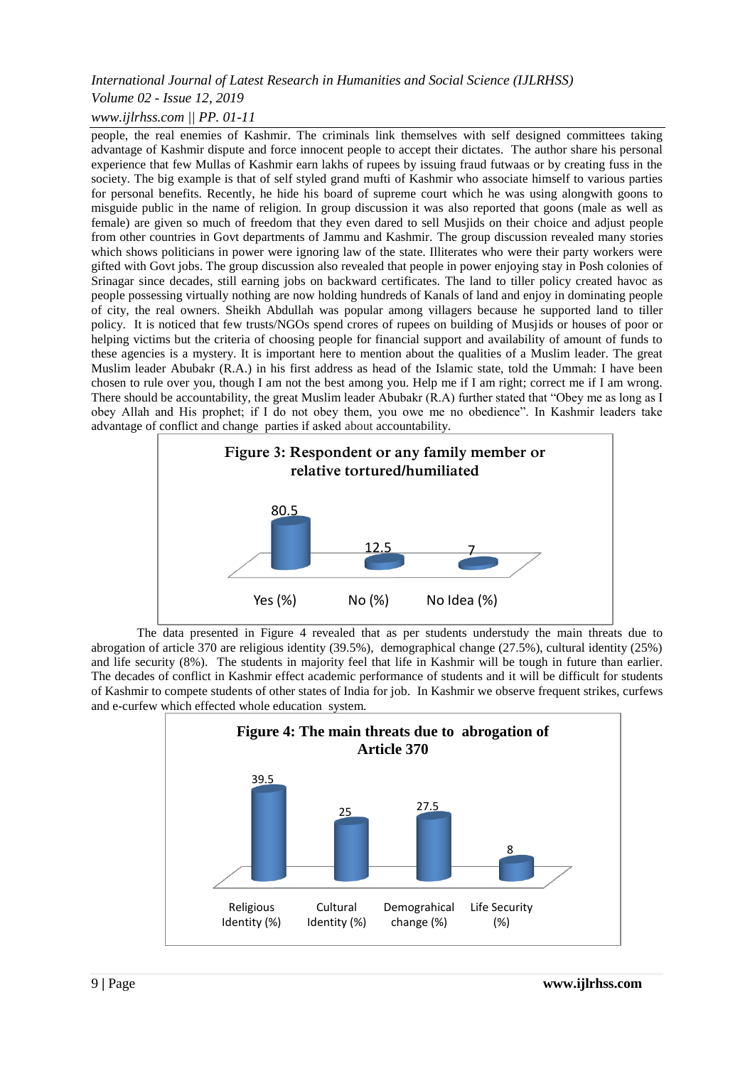## *Volume 02 - Issue 12, 2019*

## *www.ijlrhss.com || PP. 01-11*

people, the real enemies of Kashmir. The criminals link themselves with self designed committees taking advantage of Kashmir dispute and force innocent people to accept their dictates. The author share his personal experience that few Mullas of Kashmir earn lakhs of rupees by issuing fraud futwaas or by creating fuss in the society. The big example is that of self styled grand mufti of Kashmir who associate himself to various parties for personal benefits. Recently, he hide his board of supreme court which he was using alongwith goons to misguide public in the name of religion. In group discussion it was also reported that goons (male as well as female) are given so much of freedom that they even dared to sell Musjids on their choice and adjust people from other countries in Govt departments of Jammu and Kashmir. The group discussion revealed many stories which shows politicians in power were ignoring law of the state. Illiterates who were their party workers were gifted with Govt jobs. The group discussion also revealed that people in power enjoying stay in Posh colonies of Srinagar since decades, still earning jobs on backward certificates. The land to tiller policy created havoc as people possessing virtually nothing are now holding hundreds of Kanals of land and enjoy in dominating people of city, the real owners. Sheikh Abdullah was popular among villagers because he supported land to tiller policy. It is noticed that few trusts/NGOs spend crores of rupees on building of Musjids or houses of poor or helping victims but the criteria of choosing people for financial support and availability of amount of funds to these agencies is a mystery. It is important here to mention about the qualities of a Muslim leader. The great Muslim leader Abubakr (R.A.) in his first address as head of the Islamic state, told the Ummah: I have been chosen to rule over you, though I am not the best among you. Help me if I am right; correct me if I am wrong. There should be accountability, the great Muslim leader Abubakr (R.A) further stated that "Obey me as long as I obey Allah and His prophet; if I do not obey them, you owe me no obedience". In Kashmir leaders take advantage of conflict and change parties if asked about accountability.



The data presented in Figure 4 revealed that as per students understudy the main threats due to abrogation of article 370 are religious identity (39.5%), demographical change (27.5%), cultural identity (25%) and life security (8%). The students in majority feel that life in Kashmir will be tough in future than earlier. The decades of conflict in Kashmir effect academic performance of students and it will be difficult for students of Kashmir to compete students of other states of India for job. In Kashmir we observe frequent strikes, curfews and e-curfew which effected whole education system.

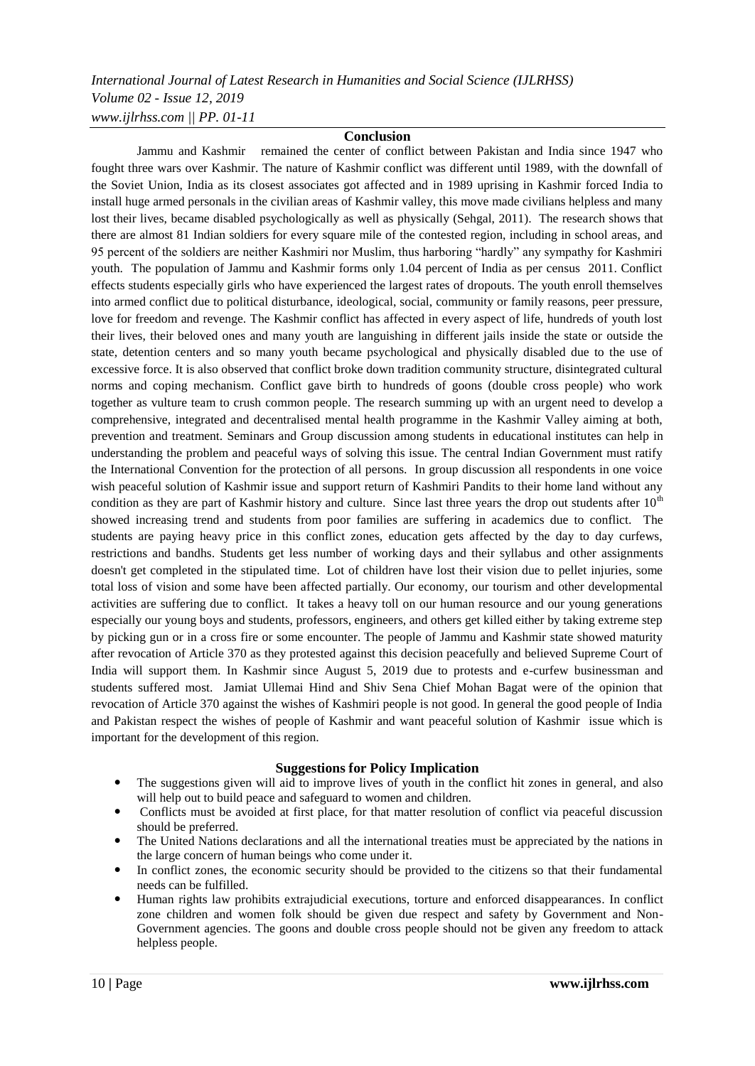# *International Journal of Latest Research in Humanities and Social Science (IJLRHSS) Volume 02 - Issue 12, 2019 www.ijlrhss.com || PP. 01-11*

#### **Conclusion**

Jammu and Kashmir remained the center of conflict between Pakistan and India since 1947 who fought three wars over Kashmir. The nature of Kashmir conflict was different until 1989, with the downfall of the Soviet Union, India as its closest associates got affected and in 1989 uprising in Kashmir forced India to install huge armed personals in the civilian areas of Kashmir valley, this move made civilians helpless and many lost their lives, became disabled psychologically as well as physically (Sehgal, 2011). The research shows that there are almost 81 Indian soldiers for every square mile of the contested region, including in school areas, and 95 percent of the soldiers are neither Kashmiri nor Muslim, thus harboring "hardly" any sympathy for Kashmiri youth. The population of Jammu and Kashmir forms only 1.04 percent of India as per census 2011. Conflict effects students especially girls who have experienced the largest rates of dropouts. The youth enroll themselves into armed conflict due to political disturbance, ideological, social, community or family reasons, peer pressure, love for freedom and revenge. The Kashmir conflict has affected in every aspect of life, hundreds of youth lost their lives, their beloved ones and many youth are languishing in different jails inside the state or outside the state, detention centers and so many youth became psychological and physically disabled due to the use of excessive force. It is also observed that conflict broke down tradition community structure, disintegrated cultural norms and coping mechanism. Conflict gave birth to hundreds of goons (double cross people) who work together as vulture team to crush common people. The research summing up with an urgent need to develop a comprehensive, integrated and decentralised mental health programme in the Kashmir Valley aiming at both, prevention and treatment. Seminars and Group discussion among students in educational institutes can help in understanding the problem and peaceful ways of solving this issue. The central Indian Government must ratify the International Convention for the protection of all persons. In group discussion all respondents in one voice wish peaceful solution of Kashmir issue and support return of Kashmiri Pandits to their home land without any condition as they are part of Kashmir history and culture. Since last three years the drop out students after  $10<sup>th</sup>$ showed increasing trend and students from poor families are suffering in academics due to conflict. The students are paying heavy price in this conflict zones, education gets affected by the day to day curfews, restrictions and bandhs. Students get less number of working days and their syllabus and other assignments doesn't get completed in the stipulated time. Lot of children have lost their vision due to pellet injuries, some total loss of vision and some have been affected partially. Our economy, our tourism and other developmental activities are suffering due to conflict. It takes a heavy toll on our human resource and our young generations especially our young boys and students, professors, engineers, and others get killed either by taking extreme step by picking gun or in a cross fire or some encounter. The people of Jammu and Kashmir state showed maturity after revocation of Article 370 as they protested against this decision peacefully and believed Supreme Court of India will support them. In Kashmir since August 5, 2019 due to protests and e-curfew businessman and students suffered most. Jamiat Ullemai Hind and Shiv Sena Chief Mohan Bagat were of the opinion that revocation of Article 370 against the wishes of Kashmiri people is not good. In general the good people of India and Pakistan respect the wishes of people of Kashmir and want peaceful solution of Kashmir issue which is important for the development of this region.

#### **Suggestions for Policy Implication**

- The suggestions given will aid to improve lives of youth in the conflict hit zones in general, and also will help out to build peace and safeguard to women and children.
- Conflicts must be avoided at first place, for that matter resolution of conflict via peaceful discussion should be preferred.
- The United Nations declarations and all the international treaties must be appreciated by the nations in the large concern of human beings who come under it.
- In conflict zones, the economic security should be provided to the citizens so that their fundamental needs can be fulfilled.
- Human rights law prohibits extrajudicial executions, torture and enforced disappearances. In conflict zone children and women folk should be given due respect and safety by Government and Non-Government agencies. The goons and double cross people should not be given any freedom to attack helpless people.